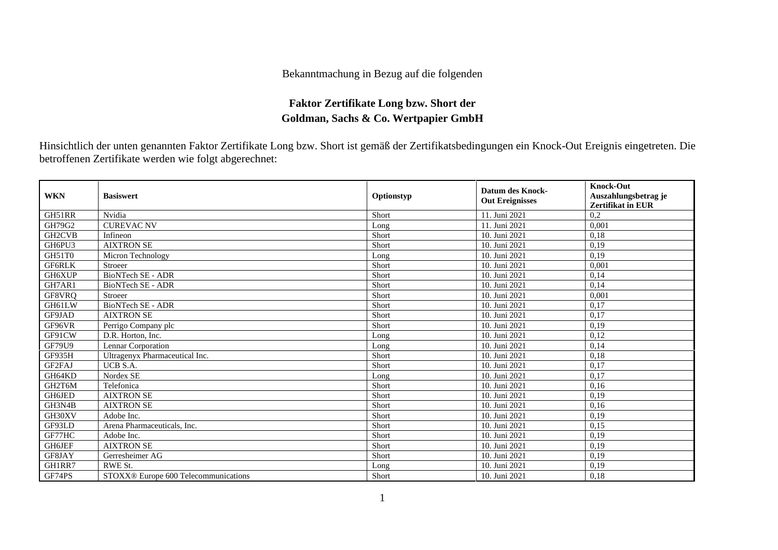## Bekanntmachung in Bezug auf die folgenden

## **Faktor Zertifikate Long bzw. Short der Goldman, Sachs & Co. Wertpapier GmbH**

Hinsichtlich der unten genannten Faktor Zertifikate Long bzw. Short ist gemäß der Zertifikatsbedingungen ein Knock-Out Ereignis eingetreten. Die betroffenen Zertifikate werden wie folgt abgerechnet:

| <b>WKN</b>    | <b>Basiswert</b>                     | Optionstyp | <b>Datum des Knock-</b><br><b>Out Ereignisses</b> | <b>Knock-Out</b><br>Auszahlungsbetrag je<br><b>Zertifikat in EUR</b> |
|---------------|--------------------------------------|------------|---------------------------------------------------|----------------------------------------------------------------------|
| GH51RR        | Nvidia                               | Short      | 11. Juni 2021                                     | 0,2                                                                  |
| GH79G2        | <b>CUREVAC NV</b>                    | Long       | 11. Juni 2021                                     | 0.001                                                                |
| GH2CVB        | Infineon                             | Short      | 10. Juni 2021                                     | 0,18                                                                 |
| GH6PU3        | <b>AIXTRON SE</b>                    | Short      | 10. Juni 2021                                     | 0,19                                                                 |
| GH51T0        | Micron Technology                    | Long       | 10. Juni 2021                                     | 0,19                                                                 |
| <b>GF6RLK</b> | Stroeer                              | Short      | 10. Juni 2021                                     | 0.001                                                                |
| GH6XUP        | <b>BioNTech SE - ADR</b>             | Short      | 10. Juni 2021                                     | 0,14                                                                 |
| GH7AR1        | <b>BioNTech SE - ADR</b>             | Short      | 10. Juni 2021                                     | 0,14                                                                 |
| GF8VRQ        | Stroeer                              | Short      | 10. Juni 2021                                     | 0,001                                                                |
| GH61LW        | BioNTech SE - ADR                    | Short      | 10. Juni 2021                                     | 0,17                                                                 |
| GF9JAD        | <b>AIXTRON SE</b>                    | Short      | 10. Juni 2021                                     | 0,17                                                                 |
| GF96VR        | Perrigo Company plc                  | Short      | 10. Juni 2021                                     | 0,19                                                                 |
| GF91CW        | D.R. Horton, Inc.                    | Long       | 10. Juni 2021                                     | 0,12                                                                 |
| <b>GF79U9</b> | Lennar Corporation                   | Long       | 10. Juni 2021                                     | 0,14                                                                 |
| GF935H        | Ultragenyx Pharmaceutical Inc.       | Short      | 10. Juni 2021                                     | 0,18                                                                 |
| GF2FAJ        | UCB S.A.                             | Short      | 10. Juni 2021                                     | 0,17                                                                 |
| GH64KD        | Nordex SE                            | Long       | 10. Juni 2021                                     | 0,17                                                                 |
| GH2T6M        | Telefonica                           | Short      | 10. Juni 2021                                     | 0,16                                                                 |
| GH6JED        | <b>AIXTRON SE</b>                    | Short      | 10. Juni 2021                                     | 0,19                                                                 |
| GH3N4B        | <b>AIXTRON SE</b>                    | Short      | 10. Juni 2021                                     | 0,16                                                                 |
| GH30XV        | Adobe Inc.                           | Short      | 10. Juni 2021                                     | 0,19                                                                 |
| GF93LD        | Arena Pharmaceuticals, Inc.          | Short      | 10. Juni 2021                                     | 0,15                                                                 |
| GF77HC        | Adobe Inc.                           | Short      | 10. Juni 2021                                     | 0,19                                                                 |
| <b>GH6JEF</b> | <b>AIXTRON SE</b>                    | Short      | 10. Juni 2021                                     | 0,19                                                                 |
| GF8JAY        | Gerresheimer AG                      | Short      | 10. Juni 2021                                     | 0,19                                                                 |
| GH1RR7        | RWE St.                              | Long       | 10. Juni 2021                                     | 0,19                                                                 |
| GF74PS        | STOXX® Europe 600 Telecommunications | Short      | 10. Juni 2021                                     | 0.18                                                                 |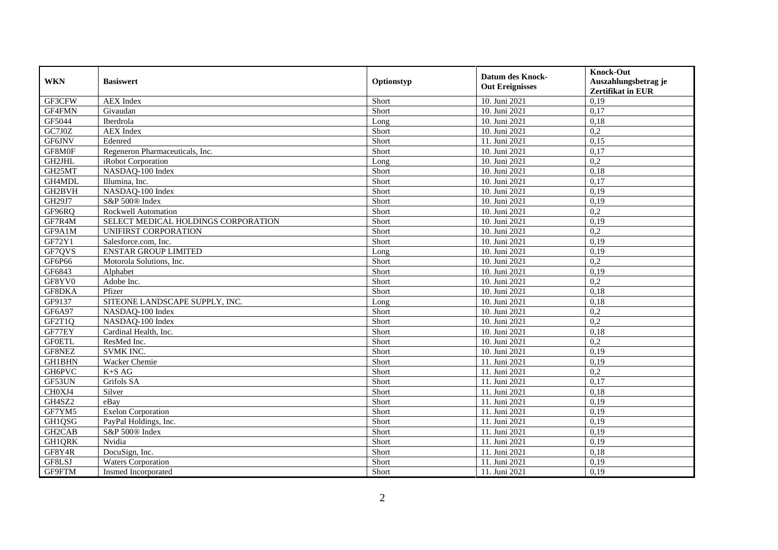| <b>WKN</b>    | <b>Basiswert</b>                    | Optionstyp | <b>Datum des Knock-</b><br><b>Out Ereignisses</b> | <b>Knock-Out</b><br>Auszahlungsbetrag je<br><b>Zertifikat in EUR</b> |
|---------------|-------------------------------------|------------|---------------------------------------------------|----------------------------------------------------------------------|
| GF3CFW        | <b>AEX</b> Index                    | Short      | 10. Juni 2021                                     | 0,19                                                                 |
| GF4FMN        | Givaudan                            | Short      | 10. Juni 2021                                     | 0,17                                                                 |
| GF5044        | Iberdrola                           | Long       | 10. Juni 2021                                     | 0,18                                                                 |
| GC7J0Z        | <b>AEX</b> Index                    | Short      | 10. Juni 2021                                     | 0,2                                                                  |
| GF6JNV        | Edenred                             | Short      | 11. Juni 2021                                     | 0,15                                                                 |
| GF8M0F        | Regeneron Pharmaceuticals, Inc.     | Short      | 10. Juni 2021                                     | 0,17                                                                 |
| GH2JHL        | iRobot Corporation                  | Long       | 10. Juni 2021                                     | 0,2                                                                  |
| GH25MT        | NASDAQ-100 Index                    | Short      | 10. Juni 2021                                     | 0,18                                                                 |
| GH4MDL        | Illumina, Inc.                      | Short      | 10. Juni 2021                                     | 0,17                                                                 |
| GH2BVH        | NASDAQ-100 Index                    | Short      | 10. Juni 2021                                     | 0,19                                                                 |
| GH29J7        | S&P 500® Index                      | Short      | 10. Juni 2021                                     | 0,19                                                                 |
| GF96RQ        | Rockwell Automation                 | Short      | 10. Juni 2021                                     | 0,2                                                                  |
| GF7R4M        | SELECT MEDICAL HOLDINGS CORPORATION | Short      | 10. Juni 2021                                     | 0,19                                                                 |
| GF9A1M        | UNIFIRST CORPORATION                | Short      | 10. Juni 2021                                     | 0,2                                                                  |
| GF72Y1        | Salesforce.com, Inc.                | Short      | 10. Juni 2021                                     | 0,19                                                                 |
| GF7QVS        | <b>ENSTAR GROUP LIMITED</b>         | Long       | 10. Juni 2021                                     | 0,19                                                                 |
| GF6P66        | Motorola Solutions, Inc.            | Short      | 10. Juni 2021                                     | 0,2                                                                  |
| GF6843        | Alphabet                            | Short      | 10. Juni 2021                                     | 0,19                                                                 |
| GF8YV0        | Adobe Inc.                          | Short      | 10. Juni 2021                                     | 0,2                                                                  |
| GF8DKA        | Pfizer                              | Short      | 10. Juni 2021                                     | 0,18                                                                 |
| GF9137        | SITEONE LANDSCAPE SUPPLY, INC.      | Long       | 10. Juni 2021                                     | 0,18                                                                 |
| GF6A97        | NASDAQ-100 Index                    | Short      | 10. Juni 2021                                     | 0,2                                                                  |
| GF2T1Q        | NASDAQ-100 Index                    | Short      | 10. Juni 2021                                     | 0,2                                                                  |
| GF77EY        | Cardinal Health, Inc.               | Short      | 10. Juni 2021                                     | 0,18                                                                 |
| <b>GFOETL</b> | ResMed Inc.                         | Short      | 10. Juni 2021                                     | 0,2                                                                  |
| GF8NEZ        | <b>SVMK INC.</b>                    | Short      | 10. Juni 2021                                     | 0,19                                                                 |
| <b>GH1BHN</b> | Wacker Chemie                       | Short      | 11. Juni 2021                                     | 0,19                                                                 |
| GH6PVC        | $K+SAG$                             | Short      | 11. Juni 2021                                     | 0,2                                                                  |
| GF53UN        | Grifols SA                          | Short      | 11. Juni 2021                                     | 0,17                                                                 |
| CH0XJ4        | Silver                              | Short      | 11. Juni 2021                                     | 0,18                                                                 |
| GH4SZ2        | eBay                                | Short      | 11. Juni 2021                                     | 0,19                                                                 |
| GF7YM5        | <b>Exelon Corporation</b>           | Short      | 11. Juni 2021                                     | 0,19                                                                 |
| GH1QSG        | PayPal Holdings, Inc.               | Short      | 11. Juni 2021                                     | 0,19                                                                 |
| GH2CAB        | S&P 500® Index                      | Short      | 11. Juni 2021                                     | 0,19                                                                 |
| <b>GH1QRK</b> | Nvidia                              | Short      | 11. Juni 2021                                     | 0,19                                                                 |
| GF8Y4R        | DocuSign, Inc.                      | Short      | 11. Juni 2021                                     | 0,18                                                                 |
| GF8LSJ        | <b>Waters Corporation</b>           | Short      | 11. Juni 2021                                     | 0,19                                                                 |
| GF9FTM        | Insmed Incorporated                 | Short      | 11. Juni 2021                                     | 0,19                                                                 |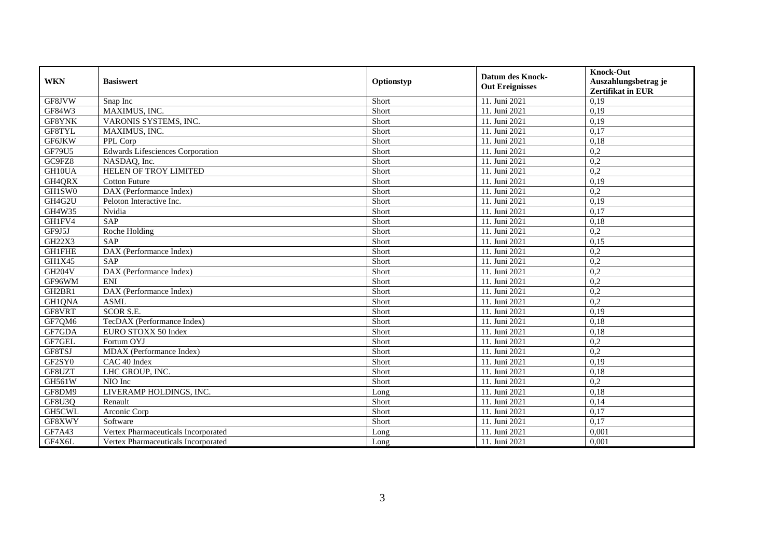| <b>WKN</b>    | <b>Basiswert</b>                        | Optionstyp | <b>Datum des Knock-</b><br><b>Out Ereignisses</b> | <b>Knock-Out</b><br>Auszahlungsbetrag je<br><b>Zertifikat in EUR</b> |
|---------------|-----------------------------------------|------------|---------------------------------------------------|----------------------------------------------------------------------|
| GF8JVW        | Snap Inc                                | Short      | 11. Juni 2021                                     | 0,19                                                                 |
| GF84W3        | MAXIMUS, INC.                           | Short      | 11. Juni 2021                                     | 0,19                                                                 |
| GF8YNK        | VARONIS SYSTEMS, INC.                   | Short      | 11. Juni 2021                                     | 0,19                                                                 |
| GF8TYL        | MAXIMUS, INC.                           | Short      | 11. Juni 2021                                     | 0,17                                                                 |
| <b>GF6JKW</b> | PPL Corp                                | Short      | 11. Juni 2021                                     | 0,18                                                                 |
| GF79U5        | <b>Edwards Lifesciences Corporation</b> | Short      | 11. Juni 2021                                     | 0,2                                                                  |
| GC9FZ8        | NASDAQ, Inc.                            | Short      | 11. Juni 2021                                     | 0,2                                                                  |
| GH10UA        | <b>HELEN OF TROY LIMITED</b>            | Short      | 11. Juni 2021                                     | 0,2                                                                  |
| GH4QRX        | <b>Cotton Future</b>                    | Short      | 11. Juni 2021                                     | 0,19                                                                 |
| GH1SW0        | DAX (Performance Index)                 | Short      | 11. Juni 2021                                     | 0,2                                                                  |
| GH4G2U        | Peloton Interactive Inc.                | Short      | 11. Juni 2021                                     | 0,19                                                                 |
| GH4W35        | Nvidia                                  | Short      | 11. Juni 2021                                     | 0,17                                                                 |
| GH1FV4        | SAP                                     | Short      | 11. Juni 2021                                     | 0,18                                                                 |
| GF9J5J        | Roche Holding                           | Short      | 11. Juni 2021                                     | 0,2                                                                  |
| GH22X3        | <b>SAP</b>                              | Short      | 11. Juni 2021                                     | 0,15                                                                 |
| <b>GH1FHE</b> | DAX (Performance Index)                 | Short      | 11. Juni 2021                                     | 0,2                                                                  |
| GH1X45        | <b>SAP</b>                              | Short      | 11. Juni 2021                                     | 0,2                                                                  |
| <b>GH204V</b> | DAX (Performance Index)                 | Short      | 11. Juni 2021                                     | 0,2                                                                  |
| GF96WM        | <b>ENI</b>                              | Short      | 11. Juni 2021                                     | 0,2                                                                  |
| GH2BR1        | DAX (Performance Index)                 | Short      | 11. Juni 2021                                     | 0,2                                                                  |
| GH1QNA        | <b>ASML</b>                             | Short      | 11. Juni 2021                                     | 0,2                                                                  |
| GF8VRT        | SCOR S.E.                               | Short      | 11. Juni 2021                                     | 0,19                                                                 |
| GF7QM6        | TecDAX (Performance Index)              | Short      | 11. Juni 2021                                     | 0,18                                                                 |
| GF7GDA        | EURO STOXX 50 Index                     | Short      | 11. Juni 2021                                     | 0,18                                                                 |
| GF7GEL        | Fortum OYJ                              | Short      | 11. Juni 2021                                     | 0,2                                                                  |
| GF8TSJ        | MDAX (Performance Index)                | Short      | 11. Juni 2021                                     | 0,2                                                                  |
| GF2SY0        | CAC 40 Index                            | Short      | 11. Juni 2021                                     | 0,19                                                                 |
| GF8UZT        | LHC GROUP, INC.                         | Short      | 11. Juni 2021                                     | 0,18                                                                 |
| GH561W        | NIO Inc                                 | Short      | 11. Juni 2021                                     | 0,2                                                                  |
| GF8DM9        | LIVERAMP HOLDINGS, INC.                 | Long       | 11. Juni 2021                                     | 0,18                                                                 |
| GF8U3Q        | Renault                                 | Short      | 11. Juni 2021                                     | 0,14                                                                 |
| GH5CWL        | Arconic Corp                            | Short      | 11. Juni 2021                                     | 0,17                                                                 |
| GF8XWY        | Software                                | Short      | 11. Juni 2021                                     | 0,17                                                                 |
| GF7A43        | Vertex Pharmaceuticals Incorporated     | Long       | 11. Juni 2021                                     | 0,001                                                                |
| GF4X6L        | Vertex Pharmaceuticals Incorporated     | Long       | 11. Juni 2021                                     | 0,001                                                                |